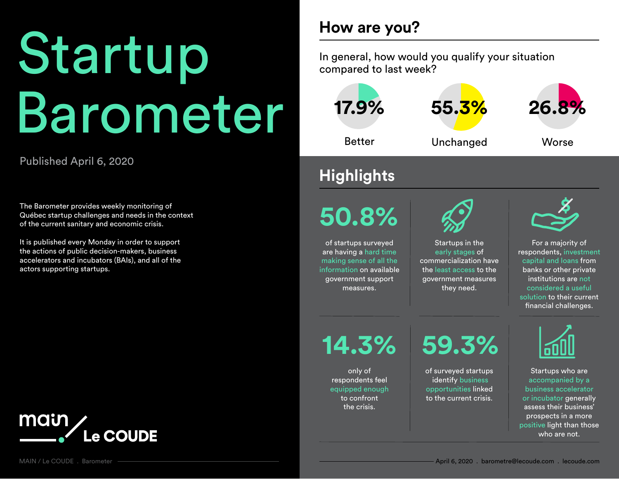# In general, how would you qualify your situation compared to last week? Barometer

#### Published April 6, 2020

The Barometer provides weekly monitoring of Québec startup challenges and needs in the context of the current sanitary and economic crisis.

It is published every Monday in order to support the actions of public decision-makers, business accelerators and incubators (BAIs), and all of the actors supporting startups.



# **How are you?**



# **Highlights**

**50.8%**

of startups surveyed are having a hard time making sense of all the information on available government support measures.



Startups in the early stages of commercialization have the least access to the government measures they need.



For a majority of respondents, investment capital and loans from banks or other private institutions are not considered a useful solution to their current financial challenges.

only of respondents feel equipped enough to confront the crisis.

**14.3% 59.3%**

of surveyed startups identify business opportunities linked to the current crisis.



Startups who are accompanied by a business accelerator or incubator generally assess their business' prospects in a more positive light than those who are not.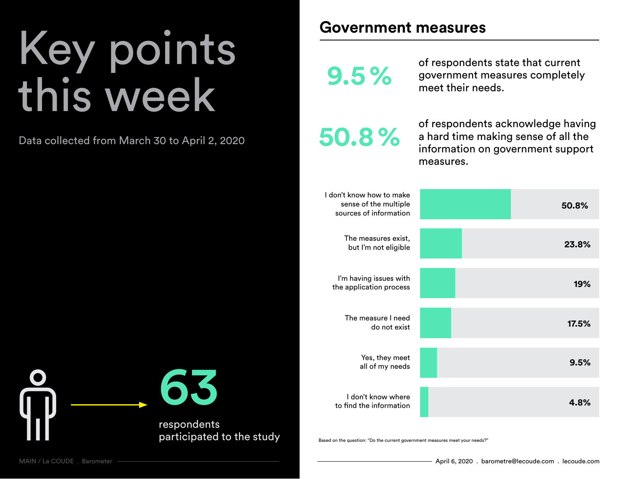# Key points this week

Data collected from March 30 to April 2, 2020

#### **Government measures**

of respondents state that current **9.5 %** government measures completely<br>meet their needs.

**50.8%**

of respondents acknowledge having a hard time making sense of all the information on government support measures.

| 50.8% | I don't know how to make<br>sense of the multiple<br>sources of information |
|-------|-----------------------------------------------------------------------------|
| 23.8% | The measures exist,<br>but I'm not eligible                                 |
| 19%   | I'm having issues with<br>the application process                           |
| 17.5% | The measure I need<br>do not exist                                          |
| 9.5%  | Yes, they meet<br>all of my needs                                           |
| 4.8%  | I don't know where<br>to find the information                               |

Based on the question: "Do the current government measures meet your needs?"

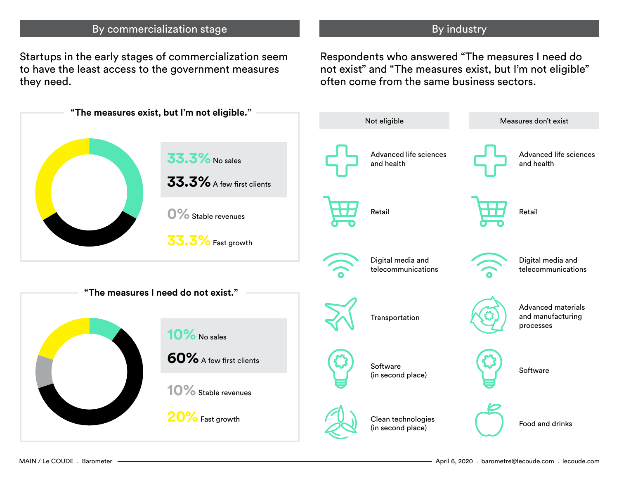#### By commercialization stage By industry

Startups in the early stages of commercialization seem to have the least access to the government measures they need.

Respondents who answered "The measures I need do not exist" and "The measures exist, but I'm not eligible" often come from the same business sectors.

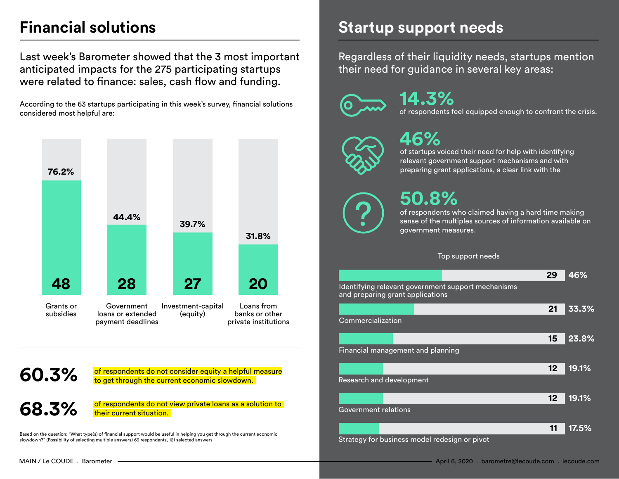# **Financial solutions**

Last week's Barometer showed that the 3 most important anticipated impacts for the 275 participating startups were related to finance: sales, cash flow and funding.

According to the 63 startups participating in this week's survey, financial solutions considered most helpful are:



### **60.3%**

of respondents do not consider equity a helpful measure to get through the current economic slowdown.

of respondents do not view private loans as a solution to their current situation. **68.3%**

Based on the question: "What type(s) of financial support would be useful in helping you get through the current economic slowdown?" (Possibility of selecting multiple answers) 63 respondents, 121 selected answers

#### **Startup support needs**

Regardless of their liquidity needs, startups mention their need for guidance in several key areas:

of respondents feel equipped enough to confront the crisis. **14.3%**

# **46%**

of startups voiced their need for help with identifying relevant government support mechanisms and with preparing grant applications, a clear link with the

# **50.8%**

of respondents who claimed having a hard time making sense of the multiples sources of information available on government measures.

#### Top support needs

|                                                                                        |  |  | 29 |                 | 46%   |
|----------------------------------------------------------------------------------------|--|--|----|-----------------|-------|
| Identifying relevant government support mechanisms<br>and preparing grant applications |  |  |    |                 |       |
|                                                                                        |  |  | 21 |                 | 33.3% |
| Commercialization                                                                      |  |  |    |                 |       |
|                                                                                        |  |  | 15 |                 | 23.8% |
| Financial management and planning                                                      |  |  |    |                 |       |
|                                                                                        |  |  |    | 12 <sub>2</sub> | 19.1% |
| Research and development                                                               |  |  |    |                 |       |
|                                                                                        |  |  |    | 12 <sub>2</sub> | 19.1% |
| Government relations                                                                   |  |  |    |                 |       |
|                                                                                        |  |  |    | 11              | 17.5% |
| Strategy for business model redesign or pivot                                          |  |  |    |                 |       |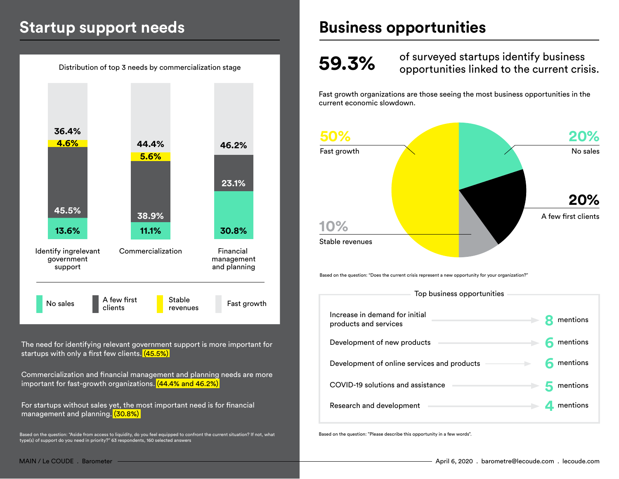### **Startup support needs**



Commercialization and financial management and planning needs are more important for fast-growth organizations. (44.4% and 46.2%)

For startups without sales yet, the most important need is for financial management and planning. (30.8%)

Based on the question: "Aside from access to liquidity, do you feel equipped to confront the current situation? If not, what<br>type(s) of support do you need in priority?" 63 respondents, 160 selected answers

### **Business opportunities**

# **59.3%**

of surveyed startups identify business opportunities linked to the current crisis.

Fast growth organizations are those seeing the most business opportunities in the current economic slowdown.



COVID-19 solutions and assistance **5** mentions

Research and development **4** mentions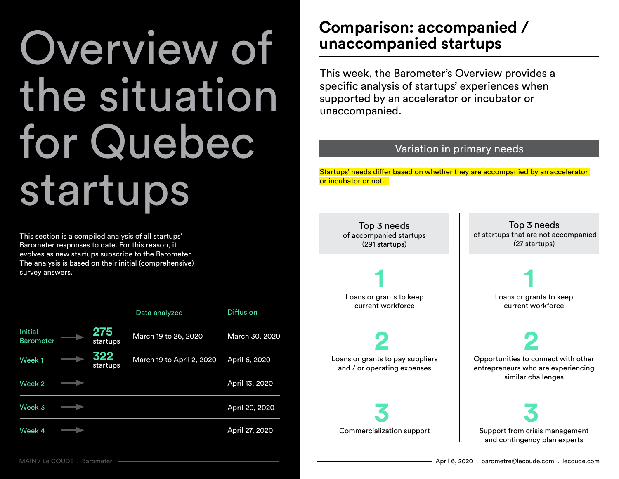# Overview of the situation for Quebec startups

This section is a compiled analysis of all startups' Barometer responses to date. For this reason, it evolves as new startups subscribe to the Barometer. The analysis is based on their initial (comprehensive) survey answers.

|                                    |                 | Data analyzed             | <b>Diffusion</b> |
|------------------------------------|-----------------|---------------------------|------------------|
| <b>Initial</b><br><b>Barometer</b> | 275<br>startups | March 19 to 26, 2020      | March 30, 2020   |
| Week <sub>1</sub>                  | 322<br>startups | March 19 to April 2, 2020 | April 6, 2020    |
| Week 2                             |                 |                           | April 13, 2020   |
| Week 3                             |                 |                           | April 20, 2020   |
| Week 4                             |                 |                           | April 27, 2020   |

### **Comparison: accompanied / unaccompanied startups**

This week, the Barometer's Overview provides a specific analysis of startups' experiences when supported by an accelerator or incubator or unaccompanied.

#### Variation in primary needs

Startups' needs differ based on whether they are accompanied by an accelerator or incubator or not.

Top 3 needs of accompanied startups (291 startups)

**1** Loans or grants to keep current workforce

**2** Loans or grants to pay suppliers and / or operating expenses

**3** Commercialization support

Top 3 needs of startups that are not accompanied (27 startups)

> **1** Loans or grants to keep current workforce

> > **2**

Opportunities to connect with other entrepreneurs who are experiencing similar challenges

**3** Support from crisis management and contingency plan experts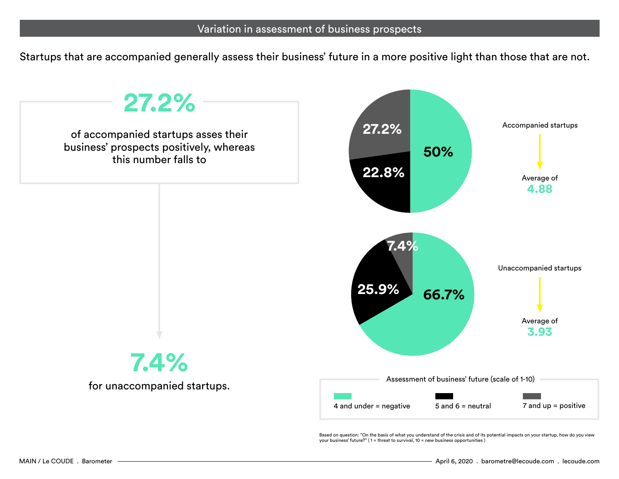Startups that are accompanied generally assess their business' future in a more positive light than those that are not.



your business' future?" (1 = threat to survival, 10 = new business opportunities)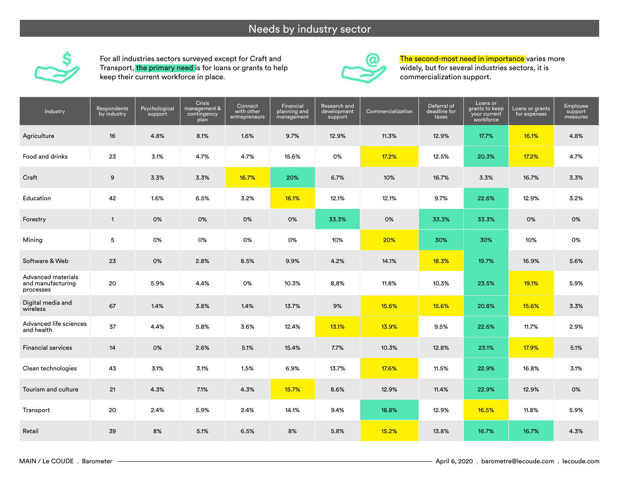#### Needs by industry sector



For all industries sectors surveyed except for Craft and Transport, the primary need is for loans or grants to help keep their current workforce in place.



The second-most need in importance varies more widely, but for several industries sectors, it is commercialization support.

| Industry                                             | Respondents<br>by industry | Psychological<br>support | Crisis<br>management &<br>contingency<br>plan | Connect<br>with other<br>entrepreneurs | Financial<br>planning and<br>management | Research and<br>development<br>support | Commercialization | Deferral of<br>deadline for<br>taxes | Loans or<br>grants to keep<br>your current<br>workforce | Loans or grants<br>for expenses | Employee<br>support<br>measures |
|------------------------------------------------------|----------------------------|--------------------------|-----------------------------------------------|----------------------------------------|-----------------------------------------|----------------------------------------|-------------------|--------------------------------------|---------------------------------------------------------|---------------------------------|---------------------------------|
| Agriculture                                          | 16                         | 4.8%                     | 8.1%                                          | 1.6%                                   | 9.7%                                    | 12.9%                                  | 11.3%             | 12.9%                                | 17.7%                                                   | 16.1%                           | 4.8%                            |
| Food and drinks                                      | 23                         | 3.1%                     | 4.7%                                          | 4.7%                                   | 15.6%                                   | 0%                                     | 17.2%             | 12.5%                                | 20.3%                                                   | 17.2%                           | 4.7%                            |
| Craft                                                | 9                          | 3.3%                     | 3.3%                                          | 16.7%                                  | 20%                                     | 6.7%                                   | 10%               | 16.7%                                | 3.3%                                                    | 16.7%                           | 3.3%                            |
| Education                                            | 42                         | 1.6%                     | 6.5%                                          | 3.2%                                   | 16.1%                                   | 12.1%                                  | 12.1%             | 9.7%                                 | 22.6%                                                   | 12.9%                           | 3.2%                            |
| Forestry                                             | $\mathbf{1}$               | 0%                       | 0%                                            | 0%                                     | 0%                                      | 33.3%                                  | 0%                | 33.3%                                | 33.3%                                                   | 0%                              | 0%                              |
| Mining                                               | 5                          | 0%                       | 0%                                            | 0%                                     | 0%                                      | 10%                                    | 20%               | 30%                                  | 30%                                                     | 10%                             | 0%                              |
| Software & Web                                       | 23                         | 0%                       | 2.8%                                          | 8.5%                                   | 9.9%                                    | 4.2%                                   | 14.1%             | 18.3%                                | 19.7%                                                   | 16.9%                           | 5.6%                            |
| Advanced materials<br>and manufacturing<br>processes | 20                         | 5.9%                     | 4.4%                                          | 0%                                     | 10.3%                                   | 8,8%                                   | 11.8%             | 10.3%                                | 23.5%                                                   | 19.1%                           | 5.9%                            |
| Digital media and<br>wireless                        | 67                         | 1.4%                     | 3.8%                                          | 1.4%                                   | 13.7%                                   | 9%                                     | 15.6%             | 15.6%                                | 20.8%                                                   | 15.6%                           | 3.3%                            |
| Advanced life sciences<br>and health                 | 37                         | 4.4%                     | 5.8%                                          | 3.6%                                   | 12.4%                                   | 13.1%                                  | 13.9%             | 9.5%                                 | 22.6%                                                   | 11.7%                           | 2.9%                            |
| <b>Financial services</b>                            | 14                         | 0%                       | 2.6%                                          | 5.1%                                   | 15.4%                                   | 7.7%                                   | 10.3%             | 12.8%                                | 23.1%                                                   | 17.9%                           | 5.1%                            |
| Clean technologies                                   | 43                         | 3.1%                     | 3.1%                                          | 1.5%                                   | 6.9%                                    | 13.7%                                  | 17.6%             | 11.5%                                | 22.9%                                                   | 16.8%                           | 3.1%                            |
| Tourism and culture                                  | 21                         | 4.3%                     | 7.1%                                          | 4.3%                                   | 15.7%                                   | 8.6%                                   | 12.9%             | 11.4%                                | 22.9%                                                   | 12.9%                           | 0%                              |
| Transport                                            | 20                         | 2.4%                     | 5.9%                                          | 2.4%                                   | 14.1%                                   | 9.4%                                   | 18.8%             | 12.9%                                | 16.5%                                                   | 11.8%                           | 5.9%                            |
| Retail                                               | 39                         | 8%                       | 5.1%                                          | 6.5%                                   | 8%                                      | 5.8%                                   | 15.2%             | 13.8%                                | 16.7%                                                   | 16.7%                           | 4.3%                            |